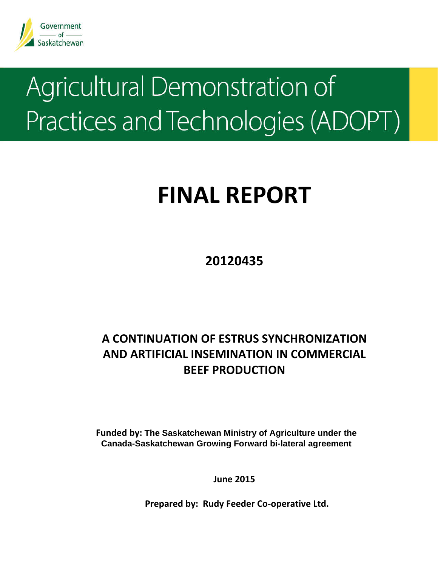

# Agricultural Demonstration of Practices and Technologies (ADOPT)

## **FINAL REPORT**

**20120435**

### **A CONTINUATION OF ESTRUS SYNCHRONIZATION AND ARTIFICIAL INSEMINATION IN COMMERCIAL BEEF PRODUCTION**

**Funded by: The Saskatchewan Ministry of Agriculture under the Canada-Saskatchewan Growing Forward bi-lateral agreement** 

**June 2015**

**Prepared by: Rudy Feeder Co‐operative Ltd.**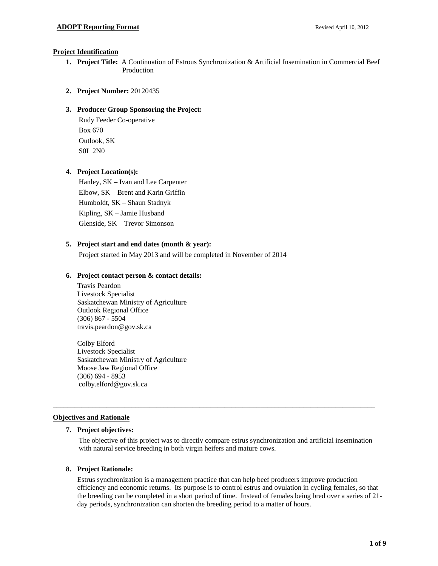#### **Project Identification**

- **1. Project Title:** A Continuation of Estrous Synchronization & Artificial Insemination in Commercial Beef Production
- **2. Project Number:** 20120435

#### **3. Producer Group Sponsoring the Project:**

Rudy Feeder Co-operative Box 670 Outlook, SK S0L 2N0

#### **4. Project Location(s):**

Hanley, SK – Ivan and Lee Carpenter Elbow, SK – Brent and Karin Griffin Humboldt, SK – Shaun Stadnyk Kipling, SK – Jamie Husband Glenside, SK – Trevor Simonson

#### **5. Project start and end dates (month & year):**

Project started in May 2013 and will be completed in November of 2014

#### **6. Project contact person & contact details:**

Travis Peardon Livestock Specialist Saskatchewan Ministry of Agriculture Outlook Regional Office (306) 867 - 5504 travis.peardon@gov.sk.ca

Colby Elford Livestock Specialist Saskatchewan Ministry of Agriculture Moose Jaw Regional Office (306) 694 - 8953 colby.elford@gov.sk.ca

#### **Objectives and Rationale**

#### **7. Project objectives:**

The objective of this project was to directly compare estrus synchronization and artificial insemination with natural service breeding in both virgin heifers and mature cows.

\_\_\_\_\_\_\_\_\_\_\_\_\_\_\_\_\_\_\_\_\_\_\_\_\_\_\_\_\_\_\_\_\_\_\_\_\_\_\_\_\_\_\_\_\_\_\_\_\_\_\_\_\_\_\_\_\_\_\_\_\_\_\_\_\_\_\_\_\_\_\_\_\_\_\_\_\_\_\_\_\_\_\_\_\_\_\_\_\_\_

#### **8. Project Rationale:**

Estrus synchronization is a management practice that can help beef producers improve production efficiency and economic returns. Its purpose is to control estrus and ovulation in cycling females, so that the breeding can be completed in a short period of time. Instead of females being bred over a series of 21 day periods, synchronization can shorten the breeding period to a matter of hours.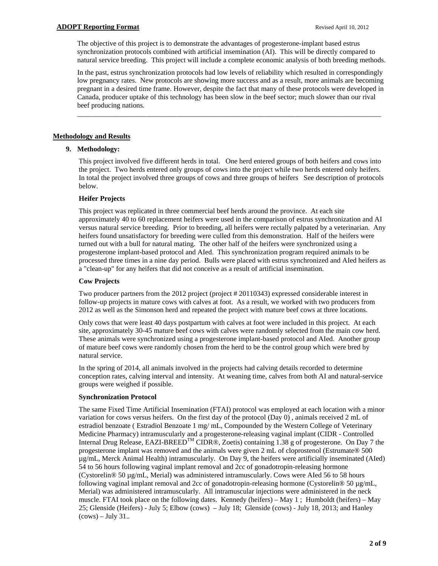The objective of this project is to demonstrate the advantages of progesterone-implant based estrus synchronization protocols combined with artificial insemination (AI). This will be directly compared to natural service breeding. This project will include a complete economic analysis of both breeding methods.

In the past, estrus synchronization protocols had low levels of reliability which resulted in correspondingly low pregnancy rates. New protocols are showing more success and as a result, more animals are becoming pregnant in a desired time frame. However, despite the fact that many of these protocols were developed in Canada, producer uptake of this technology has been slow in the beef sector; much slower than our rival beef producing nations.

\_\_\_\_\_\_\_\_\_\_\_\_\_\_\_\_\_\_\_\_\_\_\_\_\_\_\_\_\_\_\_\_\_\_\_\_\_\_\_\_\_\_\_\_\_\_\_\_\_\_\_\_\_\_\_\_\_\_\_\_\_\_\_\_\_\_\_\_\_\_\_\_\_\_\_\_\_\_\_\_\_\_\_\_\_

#### **Methodology and Results**

#### **9. Methodology:**

This project involved five different herds in total. One herd entered groups of both heifers and cows into the project. Two herds entered only groups of cows into the project while two herds entered only heifers. In total the project involved three groups of cows and three groups of heifers See description of protocols below.

#### **Heifer Projects**

This project was replicated in three commercial beef herds around the province. At each site approximately 40 to 60 replacement heifers were used in the comparison of estrus synchronization and AI versus natural service breeding. Prior to breeding, all heifers were rectally palpated by a veterinarian. Any heifers found unsatisfactory for breeding were culled from this demonstration. Half of the heifers were turned out with a bull for natural mating. The other half of the heifers were synchronized using a progesterone implant-based protocol and AIed. This synchronization program required animals to be processed three times in a nine day period. Bulls were placed with estrus synchronized and AIed heifers as a "clean-up" for any heifers that did not conceive as a result of artificial insemination.

#### **Cow Projects**

Two producer partners from the 2012 project (project # 20110343) expressed considerable interest in follow-up projects in mature cows with calves at foot. As a result, we worked with two producers from 2012 as well as the Simonson herd and repeated the project with mature beef cows at three locations.

Only cows that were least 40 days postpartum with calves at foot were included in this project. At each site, approximately 30-45 mature beef cows with calves were randomly selected from the main cow herd. These animals were synchronized using a progesterone implant-based protocol and AIed. Another group of mature beef cows were randomly chosen from the herd to be the control group which were bred by natural service.

In the spring of 2014, all animals involved in the projects had calving details recorded to determine conception rates, calving interval and intensity. At weaning time, calves from both AI and natural-service groups were weighed if possible.

#### **Synchronization Protocol**

The same Fixed Time Artificial Insemination (FTAI) protocol was employed at each location with a minor variation for cows versus heifers. On the first day of the protocol (Day 0) , animals received 2 mL of estradiol benzoate ( Estradiol Benzoate 1 mg/ mL, Compounded by the Western College of Veterinary Medicine Pharmacy) intramuscularly and a progesterone-releasing vaginal implant (CIDR - Controlled Internal Drug Release, EAZI-BREED<sup>TM</sup> CIDR®, Zoetis) containing 1.38 g of progesterone. On Day 7 the progesterone implant was removed and the animals were given 2 mL of cloprostenol (Estrumate® 500 µg/mL, Merck Animal Health) intramuscularly. On Day 9, the heifers were artificially inseminated (AIed) 54 to 56 hours following vaginal implant removal and 2cc of gonadotropin-releasing hormone (Cystorelin® 50 µg/mL, Merial) was administered intramuscularly. Cows were AIed 56 to 58 hours following vaginal implant removal and 2cc of gonadotropin-releasing hormone (Cystorelin® 50  $\mu$ g/mL, Merial) was administered intramuscularly. All intramuscular injections were administered in the neck muscle. FTAI took place on the following dates. Kennedy (heifers) – May 1 ; Humboldt (heifers) – May 25; Glenside (Heifers) - July 5; Elbow (cows) – July 18; Glenside (cows) - July 18, 2013; and Hanley  $(cows) - July 31...$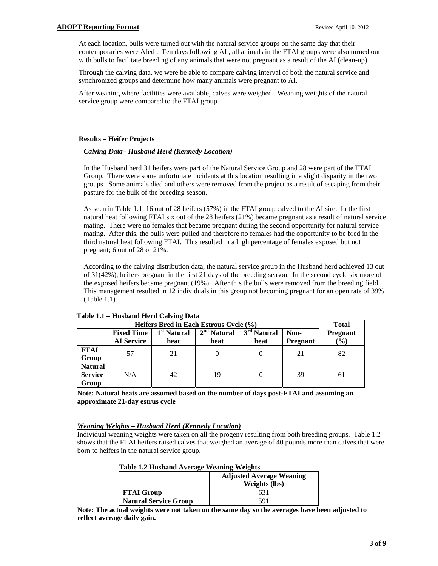At each location, bulls were turned out with the natural service groups on the same day that their contemporaries were AIed . Ten days following AI , all animals in the FTAI groups were also turned out with bulls to facilitate breeding of any animals that were not pregnant as a result of the AI (clean-up).

Through the calving data, we were be able to compare calving interval of both the natural service and synchronized groups and determine how many animals were pregnant to AI.

After weaning where facilities were available, calves were weighed. Weaning weights of the natural service group were compared to the FTAI group.

#### **Results – Heifer Projects**

#### *Calving Data– Husband Herd (Kennedy Location)*

In the Husband herd 31 heifers were part of the Natural Service Group and 28 were part of the FTAI Group. There were some unfortunate incidents at this location resulting in a slight disparity in the two groups. Some animals died and others were removed from the project as a result of escaping from their pasture for the bulk of the breeding season.

As seen in Table 1.1, 16 out of 28 heifers (57%) in the FTAI group calved to the AI sire. In the first natural heat following FTAI six out of the 28 heifers (21%) became pregnant as a result of natural service mating. There were no females that became pregnant during the second opportunity for natural service mating. After this, the bulls were pulled and therefore no females had the opportunity to be bred in the third natural heat following FTAI. This resulted in a high percentage of females exposed but not pregnant; 6 out of 28 or 21%.

According to the calving distribution data, the natural service group in the Husband herd achieved 13 out of 31(42%), heifers pregnant in the first 21 days of the breeding season. In the second cycle six more of the exposed heifers became pregnant (19%). After this the bulls were removed from the breeding field. This management resulted in 12 individuals in this group not becoming pregnant for an open rate of 39% (Table 1.1).

|                                           | Heifers Bred in Each Estrous Cycle (%) | <b>Total</b>                    |                       |                                 |                         |                           |
|-------------------------------------------|----------------------------------------|---------------------------------|-----------------------|---------------------------------|-------------------------|---------------------------|
|                                           | <b>Fixed Time</b><br><b>AI</b> Service | 1 <sup>st</sup> Natural<br>heat | $2nd$ Natural<br>heat | 3 <sup>rd</sup> Natural<br>heat | Non-<br><b>Pregnant</b> | <b>Pregnant</b><br>$(\%)$ |
| FTAI<br>Group                             | 57                                     | 21                              |                       |                                 | 21                      | 82                        |
| <b>Natural</b><br><b>Service</b><br>Group | N/A                                    | 42                              | 19                    |                                 | 39                      | 61                        |

#### **Table 1.1 – Husband Herd Calving Data**

**Note: Natural heats are assumed based on the number of days post-FTAI and assuming an approximate 21-day estrus cycle** 

#### *Weaning Weights – Husband Herd (Kennedy Location)*

Individual weaning weights were taken on all the progeny resulting from both breeding groups. Table 1.2 shows that the FTAI heifers raised calves that weighed an average of 40 pounds more than calves that were born to heifers in the natural service group.

| <b>Table 1.2 Husband Average Weaning Weights</b> |  |
|--------------------------------------------------|--|
|--------------------------------------------------|--|

|                              | <b>Adjusted Average Weaning</b><br><b>Weights (lbs)</b> |
|------------------------------|---------------------------------------------------------|
| <b>FTAI Group</b>            | 631                                                     |
| <b>Natural Service Group</b> | 591                                                     |

**Note: The actual weights were not taken on the same day so the averages have been adjusted to reflect average daily gain.**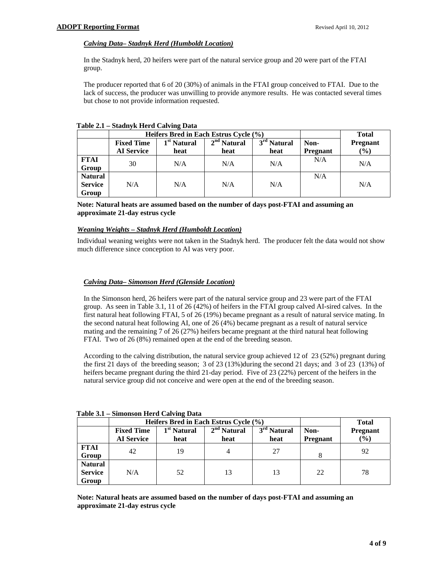#### *Calving Data– Stadnyk Herd (Humboldt Location)*

In the Stadnyk herd, 20 heifers were part of the natural service group and 20 were part of the FTAI group.

The producer reported that 6 of 20 (30%) of animals in the FTAI group conceived to FTAI. Due to the lack of success, the producer was unwilling to provide anymore results. He was contacted several times but chose to not provide information requested.

| *********      | 54.44             |                         |                                       |                         |                 |                 |
|----------------|-------------------|-------------------------|---------------------------------------|-------------------------|-----------------|-----------------|
|                |                   |                         | Heifers Bred in Each Estrus Cycle (%) |                         |                 | <b>Total</b>    |
|                | <b>Fixed Time</b> | 1 <sup>st</sup> Natural | $2nd$ Natural                         | 3 <sup>rd</sup> Natural | Non-            | <b>Pregnant</b> |
|                | <b>AI</b> Service | heat                    | heat                                  | heat                    | <b>Pregnant</b> | $(\%)$          |
| <b>FTAI</b>    | 30                | N/A                     | N/A                                   | N/A                     | N/A             | N/A             |
| Group          |                   |                         |                                       |                         |                 |                 |
| <b>Natural</b> |                   |                         |                                       |                         | N/A             |                 |
| <b>Service</b> | N/A               | N/A                     | N/A                                   | N/A                     |                 | N/A             |
| Group          |                   |                         |                                       |                         |                 |                 |

**Table 2.1 – Stadnyk Herd Calving Data** 

**Note: Natural heats are assumed based on the number of days post-FTAI and assuming an approximate 21-day estrus cycle** 

#### *Weaning Weights – Stadnyk Herd (Humboldt Location)*

Individual weaning weights were not taken in the Stadnyk herd. The producer felt the data would not show much difference since conception to AI was very poor.

#### *Calving Data– Simonson Herd (Glenside Location)*

In the Simonson herd, 26 heifers were part of the natural service group and 23 were part of the FTAI group. As seen in Table 3.1, 11 of 26 (42%) of heifers in the FTAI group calved AI-sired calves. In the first natural heat following FTAI, 5 of 26 (19%) became pregnant as a result of natural service mating. In the second natural heat following AI, one of 26 (4%) became pregnant as a result of natural service mating and the remaining 7 of 26 (27%) heifers became pregnant at the third natural heat following FTAI. Two of 26 (8%) remained open at the end of the breeding season.

According to the calving distribution, the natural service group achieved 12 of 23 (52%) pregnant during the first 21 days of the breeding season; 3 of 23 (13%)during the second 21 days; and 3 of 23 (13%) of heifers became pregnant during the third 21-day period. Five of 23 (22%) percent of the heifers in the natural service group did not conceive and were open at the end of the breeding season.

|                                           | Heifers Bred in Each Estrus Cycle (%)  |                                 |                       |                                 |                         | <b>Total</b>           |
|-------------------------------------------|----------------------------------------|---------------------------------|-----------------------|---------------------------------|-------------------------|------------------------|
|                                           | <b>Fixed Time</b><br><b>AI</b> Service | 1 <sup>st</sup> Natural<br>heat | $2nd$ Natural<br>heat | 3 <sup>rd</sup> Natural<br>heat | Non-<br><b>Pregnant</b> | <b>Pregnant</b><br>(%) |
| <b>FTAI</b><br>Group                      | 42                                     | 19                              | 4                     | 27                              |                         | 92                     |
| <b>Natural</b><br><b>Service</b><br>Group | N/A                                    | 52                              | 13                    | 13                              | 22                      | 78                     |

**Table 3.1 – Simonson Herd Calving Data** 

**Note: Natural heats are assumed based on the number of days post-FTAI and assuming an approximate 21-day estrus cycle**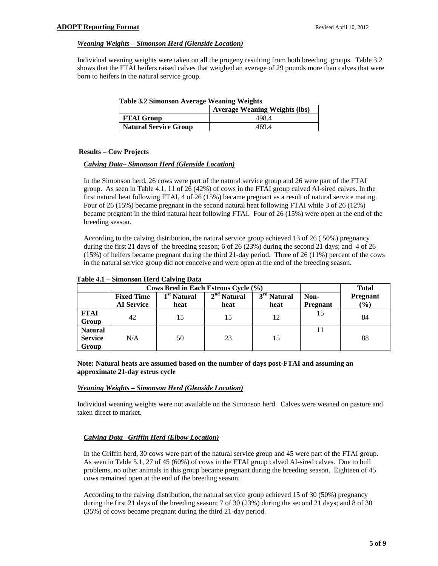#### *Weaning Weights – Simonson Herd (Glenside Location)*

Individual weaning weights were taken on all the progeny resulting from both breeding groups. Table 3.2 shows that the FTAI heifers raised calves that weighed an average of 29 pounds more than calves that were born to heifers in the natural service group.

| <b>Table 3.2 Simonson Average Weaning Weights</b> |  |  |  |
|---------------------------------------------------|--|--|--|
|---------------------------------------------------|--|--|--|

|                              | <b>Average Weaning Weights (lbs)</b> |
|------------------------------|--------------------------------------|
| <b>FTAI Group</b>            | 498.4                                |
| <b>Natural Service Group</b> | 469.4                                |

#### **Results – Cow Projects**

#### *Calving Data– Simonson Herd (Glenside Location)*

In the Simonson herd, 26 cows were part of the natural service group and 26 were part of the FTAI group. As seen in Table 4.1, 11 of 26 (42%) of cows in the FTAI group calved AI-sired calves. In the first natural heat following FTAI, 4 of 26 (15%) became pregnant as a result of natural service mating. Four of 26 (15%) became pregnant in the second natural heat following FTAI while 3 of 26 (12%) became pregnant in the third natural heat following FTAI. Four of 26 (15%) were open at the end of the breeding season.

According to the calving distribution, the natural service group achieved 13 of 26 ( 50%) pregnancy during the first 21 days of the breeding season; 6 of 26 (23%) during the second 21 days; and 4 of 26 (15%) of heifers became pregnant during the third 21-day period. Three of 26 (11%) percent of the cows in the natural service group did not conceive and were open at the end of the breeding season.

|                                           | Cows Bred in Each Estrous Cycle (%)    |                                 |                       |                                 |                         | <b>Total</b>           |
|-------------------------------------------|----------------------------------------|---------------------------------|-----------------------|---------------------------------|-------------------------|------------------------|
|                                           | <b>Fixed Time</b><br><b>AI</b> Service | 1 <sup>st</sup> Natural<br>heat | $2nd$ Natural<br>heat | 3 <sup>rd</sup> Natural<br>heat | Non-<br><b>Pregnant</b> | <b>Pregnant</b><br>(%) |
| <b>FTAI</b><br>Group                      | 42                                     | 15                              | 15                    | 12                              | 15                      | 84                     |
| <b>Natural</b><br><b>Service</b><br>Group | N/A                                    | 50                              | 23                    | 15                              |                         | 88                     |

#### **Table 4.1 – Simonson Herd Calving Data**

#### **Note: Natural heats are assumed based on the number of days post-FTAI and assuming an approximate 21-day estrus cycle**

#### *Weaning Weights – Simonson Herd (Glenside Location)*

Individual weaning weights were not available on the Simonson herd. Calves were weaned on pasture and taken direct to market.

#### *Calving Data– Griffin Herd (Elbow Location)*

In the Griffin herd, 30 cows were part of the natural service group and 45 were part of the FTAI group. As seen in Table 5.1, 27 of 45 (60%) of cows in the FTAI group calved AI-sired calves. Due to bull problems, no other animals in this group became pregnant during the breeding season. Eighteen of 45 cows remained open at the end of the breeding season.

According to the calving distribution, the natural service group achieved 15 of 30 (50%) pregnancy during the first 21 days of the breeding season; 7 of 30 (23%) during the second 21 days; and 8 of 30 (35%) of cows became pregnant during the third 21-day period.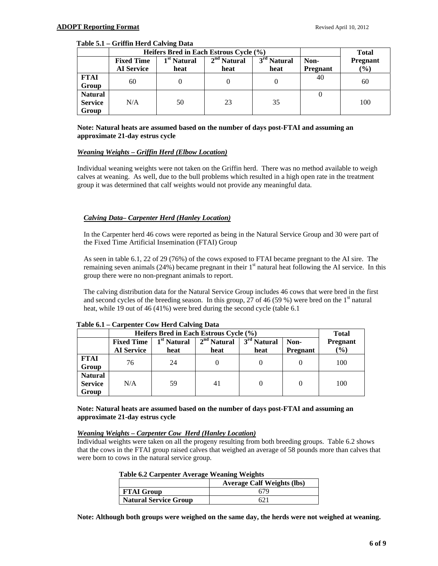#### **Table 5.1 – Griffin Herd Calving Data**

|                                           | Heifers Bred in Each Estrous Cycle (%) | <b>Total</b>            |               |                         |                 |                 |
|-------------------------------------------|----------------------------------------|-------------------------|---------------|-------------------------|-----------------|-----------------|
|                                           | <b>Fixed Time</b>                      | 1 <sup>st</sup> Natural | $2nd$ Natural | 3 <sup>rd</sup> Natural | Non-            | <b>Pregnant</b> |
|                                           | <b>AI</b> Service                      | heat                    | heat          | heat                    | <b>Pregnant</b> | $(\%)$          |
| <b>FTAI</b><br>Group                      | 60                                     |                         |               |                         | 40              | 60              |
| <b>Natural</b><br><b>Service</b><br>Group | N/A                                    | 50                      | 23            | 35                      |                 | 100             |

#### **Note: Natural heats are assumed based on the number of days post-FTAI and assuming an approximate 21-day estrus cycle**

#### *Weaning Weights – Griffin Herd (Elbow Location)*

Individual weaning weights were not taken on the Griffin herd. There was no method available to weigh calves at weaning. As well, due to the bull problems which resulted in a high open rate in the treatment group it was determined that calf weights would not provide any meaningful data.

#### *Calving Data– Carpenter Herd (Hanley Location)*

In the Carpenter herd 46 cows were reported as being in the Natural Service Group and 30 were part of the Fixed Time Artificial Insemination (FTAI) Group

As seen in table 6.1, 22 of 29 (76%) of the cows exposed to FTAI became pregnant to the AI sire. The remaining seven animals (24%) became pregnant in their  $1<sup>st</sup>$  natural heat following the AI service. In this group there were no non-pregnant animals to report.

The calving distribution data for the Natural Service Group includes 46 cows that were bred in the first and second cycles of the breeding season. In this group, 27 of 46 (59 %) were bred on the  $1<sup>st</sup>$  natural heat, while 19 out of 46 (41%) were bred during the second cycle (table 6.1

|                                           | Heifers Bred in Each Estrous Cycle (%) | <b>Total</b>                    |                       |                                 |                         |                           |
|-------------------------------------------|----------------------------------------|---------------------------------|-----------------------|---------------------------------|-------------------------|---------------------------|
|                                           | <b>Fixed Time</b><br><b>AI</b> Service | 1 <sup>st</sup> Natural<br>heat | $2nd$ Natural<br>heat | 3 <sup>rd</sup> Natural<br>heat | Non-<br><b>Pregnant</b> | <b>Pregnant</b><br>$(\%)$ |
| <b>FTAI</b><br>Group                      | 76                                     | 24                              |                       |                                 |                         | 100                       |
| <b>Natural</b><br><b>Service</b><br>Group | N/A                                    | 59                              | 41                    |                                 |                         | 100                       |

#### **Table 6.1 – Carpenter Cow Herd Calving Data**

#### **Note: Natural heats are assumed based on the number of days post-FTAI and assuming an approximate 21-day estrus cycle**

#### *Weaning Weights – Carpenter Cow Herd (Hanley Location)*

Individual weights were taken on all the progeny resulting from both breeding groups. Table 6.2 shows that the cows in the FTAI group raised calves that weighed an average of 58 pounds more than calves that were born to cows in the natural service group.

|                              | <b>Average Calf Weights (lbs)</b> |
|------------------------------|-----------------------------------|
| <b>FTAI Group</b>            |                                   |
| <b>Natural Service Group</b> |                                   |

**Note: Although both groups were weighed on the same day, the herds were not weighed at weaning.**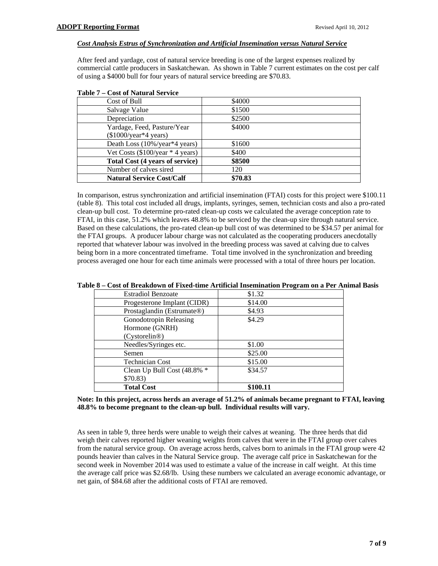#### *Cost Analysis Estrus of Synchronization and Artificial Insemination versus Natural Service*

After feed and yardage, cost of natural service breeding is one of the largest expenses realized by commercial cattle producers in Saskatchewan. As shown in Table 7 current estimates on the cost per calf of using a \$4000 bull for four years of natural service breeding are \$70.83.

| Cost of Bull                                      | \$4000  |
|---------------------------------------------------|---------|
| Salvage Value                                     | \$1500  |
| Depreciation                                      | \$2500  |
| Yardage, Feed, Pasture/Year                       | \$4000  |
| $(\$1000/\text{year*4 years})$                    |         |
| Death Loss (10%/year*4 years)                     | \$1600  |
| Vet Costs $(\$100/\text{year} * 4 \text{ years})$ | \$400   |
| Total Cost (4 years of service)                   | \$8500  |
| Number of calves sired                            | 120     |
| <b>Natural Service Cost/Calf</b>                  | \$70.83 |
|                                                   |         |

In comparison, estrus synchronization and artificial insemination (FTAI) costs for this project were \$100.11 (table 8). This total cost included all drugs, implants, syringes, semen, technician costs and also a pro-rated clean-up bull cost. To determine pro-rated clean-up costs we calculated the average conception rate to FTAI, in this case, 51.2% which leaves 48.8% to be serviced by the clean-up sire through natural service. Based on these calculations, the pro-rated clean-up bull cost of was determined to be \$34.57 per animal for the FTAI groups. A producer labour charge was not calculated as the cooperating producers anecdotally reported that whatever labour was involved in the breeding process was saved at calving due to calves being born in a more concentrated timeframe. Total time involved in the synchronization and breeding process averaged one hour for each time animals were processed with a total of three hours per location.

| <b>Estradiol Benzoate</b>   | \$1.32   |
|-----------------------------|----------|
| Progesterone Implant (CIDR) | \$14.00  |
| Prostaglandin (Estrumate®)  | \$4.93   |
| Gonodotropin Releasing      | \$4.29   |
| Hormone (GNRH)              |          |
| (Cystorelin@)               |          |
| Needles/Syringes etc.       | \$1.00   |
| Semen                       | \$25.00  |
| <b>Technician Cost</b>      | \$15.00  |
| Clean Up Bull Cost (48.8% * | \$34.57  |
| \$70.83)                    |          |
| <b>Total Cost</b>           | \$100.11 |

**Table 8 – Cost of Breakdown of Fixed-time Artificial Insemination Program on a Per Animal Basis** 

#### **Note: In this project, across herds an average of 51.2% of animals became pregnant to FTAI, leaving 48.8% to become pregnant to the clean-up bull. Individual results will vary.**

As seen in table 9, three herds were unable to weigh their calves at weaning. The three herds that did weigh their calves reported higher weaning weights from calves that were in the FTAI group over calves from the natural service group. On average across herds, calves born to animals in the FTAI group were 42 pounds heavier than calves in the Natural Service group. The average calf price in Saskatchewan for the second week in November 2014 was used to estimate a value of the increase in calf weight. At this time the average calf price was \$2.68/lb. Using these numbers we calculated an average economic advantage, or net gain, of \$84.68 after the additional costs of FTAI are removed.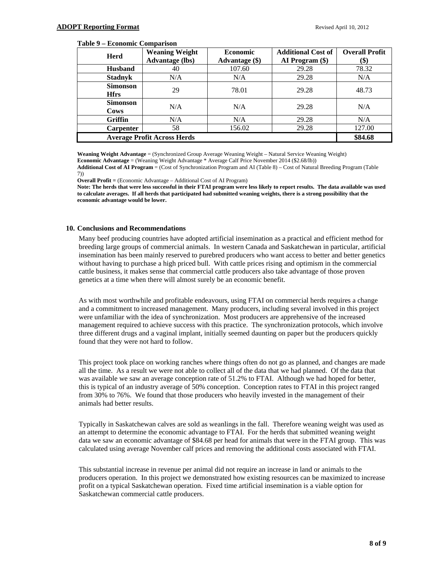#### **Table 9 – Economic Comparison**

| <b>Herd</b>                    | <b>Weaning Weight</b><br><b>Advantage (lbs)</b> | <b>Economic</b><br><b>Advantage</b> (\$) | <b>Additional Cost of</b><br>AI Program (\$) | <b>Overall Profit</b><br>(\$) |
|--------------------------------|-------------------------------------------------|------------------------------------------|----------------------------------------------|-------------------------------|
| <b>Husband</b>                 | 40                                              | 107.60                                   | 29.28                                        | 78.32                         |
| <b>Stadnyk</b>                 | N/A                                             | N/A                                      | 29.28                                        | N/A                           |
| <b>Simonson</b><br><b>Hfrs</b> | 29                                              | 78.01                                    | 29.28                                        | 48.73                         |
| <b>Simonson</b><br><b>Cows</b> | N/A                                             | N/A                                      | 29.28                                        | N/A                           |
| Griffin                        | N/A                                             | N/A                                      | 29.28                                        | N/A                           |
| <b>Carpenter</b>               | 58                                              | 156.02                                   | 29.28                                        | 127.00                        |
|                                | <b>Average Profit Across Herds</b>              |                                          |                                              | \$84.68                       |

**Weaning Weight Advantage** = (Synchronized Group Average Weaning Weight – Natural Service Weaning Weight) **Economic Advantage** = (Weaning Weight Advantage \* Average Calf Price November 2014 (\$2.68/lb))

**Additional Cost of AI Program** = (Cost of Synchronization Program and AI (Table 8) – Cost of Natural Breeding Program (Table 7))

**Overall Profit =** (Economic Advantage – Additional Cost of AI Program)

**Note: The herds that were less successful in their FTAI program were less likely to report results. The data available was used to calculate averages. If all herds that participated had submitted weaning weights, there is a strong possibility that the economic advantage would be lower.** 

#### **10. Conclusions and Recommendations**

Many beef producing countries have adopted artificial insemination as a practical and efficient method for breeding large groups of commercial animals. In western Canada and Saskatchewan in particular, artificial insemination has been mainly reserved to purebred producers who want access to better and better genetics without having to purchase a high priced bull. With cattle prices rising and optimism in the commercial cattle business, it makes sense that commercial cattle producers also take advantage of those proven genetics at a time when there will almost surely be an economic benefit.

As with most worthwhile and profitable endeavours, using FTAI on commercial herds requires a change and a commitment to increased management. Many producers, including several involved in this project were unfamiliar with the idea of synchronization. Most producers are apprehensive of the increased management required to achieve success with this practice. The synchronization protocols, which involve three different drugs and a vaginal implant, initially seemed daunting on paper but the producers quickly found that they were not hard to follow.

This project took place on working ranches where things often do not go as planned, and changes are made all the time. As a result we were not able to collect all of the data that we had planned. Of the data that was available we saw an average conception rate of 51.2% to FTAI. Although we had hoped for better, this is typical of an industry average of 50% conception. Conception rates to FTAI in this project ranged from 30% to 76%. We found that those producers who heavily invested in the management of their animals had better results.

Typically in Saskatchewan calves are sold as weanlings in the fall. Therefore weaning weight was used as an attempt to determine the economic advantage to FTAI. For the herds that submitted weaning weight data we saw an economic advantage of \$84.68 per head for animals that were in the FTAI group. This was calculated using average November calf prices and removing the additional costs associated with FTAI.

This substantial increase in revenue per animal did not require an increase in land or animals to the producers operation. In this project we demonstrated how existing resources can be maximized to increase profit on a typical Saskatchewan operation. Fixed time artificial insemination is a viable option for Saskatchewan commercial cattle producers.